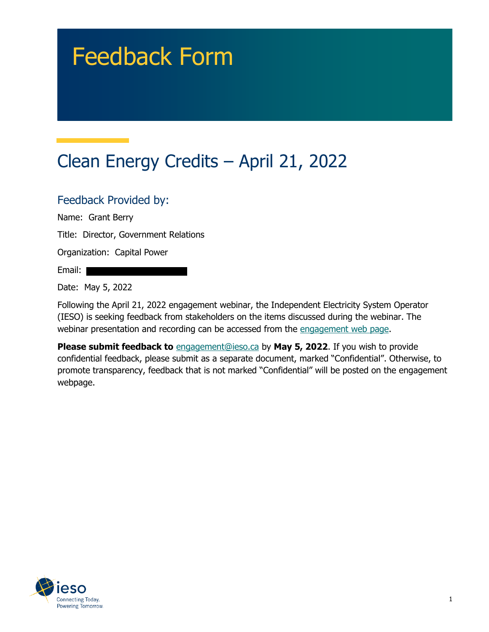# Feedback Form

## Clean Energy Credits – April 21, 2022

#### Feedback Provided by:

Name: Grant Berry

Title: Director, Government Relations

Organization: Capital Power

Email:

Date: May 5, 2022

Following the April 21, 2022 engagement webinar, the Independent Electricity System Operator (IESO) is seeking feedback from stakeholders on the items discussed during the webinar. The webinar presentation and recording can be accessed from the [engagement web page.](https://www.ieso.ca/en/Sector-Participants/Engagement-Initiatives/Engagements/Clean-Energy-Credits)

**Please submit feedback to** [engagement@ieso.ca](mailto:engagement@ieso.ca) by **May 5, 2022**. If you wish to provide confidential feedback, please submit as a separate document, marked "Confidential". Otherwise, to promote transparency, feedback that is not marked "Confidential" will be posted on the engagement webpage.

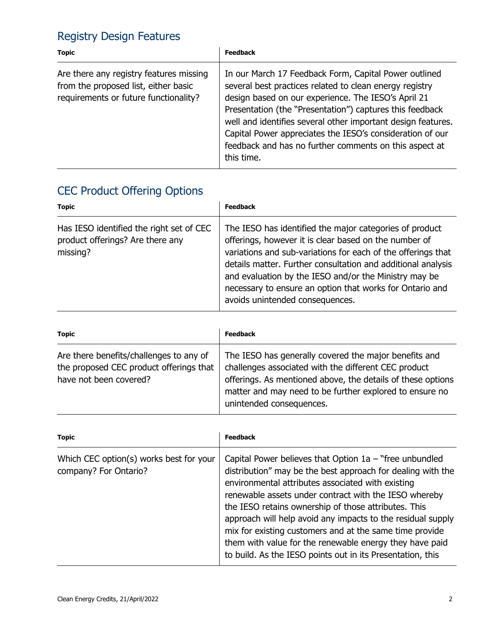### Registry Design Features

| <b>Topic</b>                                                                                                             | <b>Feedback</b>                                                                                                                                                                                                                                                                                                                                                                                                                          |
|--------------------------------------------------------------------------------------------------------------------------|------------------------------------------------------------------------------------------------------------------------------------------------------------------------------------------------------------------------------------------------------------------------------------------------------------------------------------------------------------------------------------------------------------------------------------------|
| Are there any registry features missing<br>from the proposed list, either basic<br>requirements or future functionality? | In our March 17 Feedback Form, Capital Power outlined<br>several best practices related to clean energy registry<br>design based on our experience. The IESO's April 21<br>Presentation (the "Presentation") captures this feedback<br>well and identifies several other important design features.<br>Capital Power appreciates the IESO's consideration of our<br>feedback and has no further comments on this aspect at<br>this time. |

### CEC Product Offering Options

| <b>Topic</b>                                                                             | <b>Feedback</b>                                                                                                                                                                                                                                                                                                                                                                                          |
|------------------------------------------------------------------------------------------|----------------------------------------------------------------------------------------------------------------------------------------------------------------------------------------------------------------------------------------------------------------------------------------------------------------------------------------------------------------------------------------------------------|
| Has IESO identified the right set of CEC<br>product offerings? Are there any<br>missing? | The IESO has identified the major categories of product<br>offerings, however it is clear based on the number of<br>variations and sub-variations for each of the offerings that<br>details matter. Further consultation and additional analysis<br>and evaluation by the IESO and/or the Ministry may be<br>necessary to ensure an option that works for Ontario and<br>avoids unintended consequences. |

| <b>Topic</b>                                                                                                 | <b>Feedback</b>                                                                                                                                                                                                                                                     |
|--------------------------------------------------------------------------------------------------------------|---------------------------------------------------------------------------------------------------------------------------------------------------------------------------------------------------------------------------------------------------------------------|
| Are there benefits/challenges to any of<br>the proposed CEC product offerings that<br>have not been covered? | The IESO has generally covered the major benefits and<br>challenges associated with the different CEC product<br>offerings. As mentioned above, the details of these options<br>matter and may need to be further explored to ensure no<br>unintended consequences. |

| <b>Topic</b>                                                     | <b>Feedback</b>                                                                                                                                                                                                                                                                                                                                                                                                                                                                                                                                   |
|------------------------------------------------------------------|---------------------------------------------------------------------------------------------------------------------------------------------------------------------------------------------------------------------------------------------------------------------------------------------------------------------------------------------------------------------------------------------------------------------------------------------------------------------------------------------------------------------------------------------------|
| Which CEC option(s) works best for your<br>company? For Ontario? | Capital Power believes that Option $1a$ – "free unbundled<br>distribution" may be the best approach for dealing with the<br>environmental attributes associated with existing<br>renewable assets under contract with the IESO whereby<br>the IESO retains ownership of those attributes. This<br>approach will help avoid any impacts to the residual supply<br>mix for existing customers and at the same time provide<br>them with value for the renewable energy they have paid<br>to build. As the IESO points out in its Presentation, this |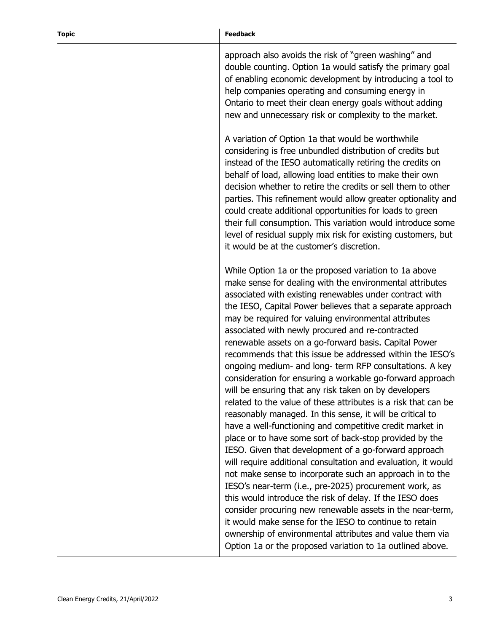#### **Topic Feedback**

approach also avoids the risk of "green washing" and double counting. Option 1a would satisfy the primary goal of enabling economic development by introducing a tool to help companies operating and consuming energy in Ontario to meet their clean energy goals without adding new and unnecessary risk or complexity to the market.

A variation of Option 1a that would be worthwhile considering is free unbundled distribution of credits but instead of the IESO automatically retiring the credits on behalf of load, allowing load entities to make their own decision whether to retire the credits or sell them to other parties. This refinement would allow greater optionality and could create additional opportunities for loads to green their full consumption. This variation would introduce some level of residual supply mix risk for existing customers, but it would be at the customer's discretion.

While Option 1a or the proposed variation to 1a above make sense for dealing with the environmental attributes associated with existing renewables under contract with the IESO, Capital Power believes that a separate approach may be required for valuing environmental attributes associated with newly procured and re-contracted renewable assets on a go-forward basis. Capital Power recommends that this issue be addressed within the IESO's ongoing medium- and long- term RFP consultations. A key consideration for ensuring a workable go-forward approach will be ensuring that any risk taken on by developers related to the value of these attributes is a risk that can be reasonably managed. In this sense, it will be critical to have a well-functioning and competitive credit market in place or to have some sort of back-stop provided by the IESO. Given that development of a go-forward approach will require additional consultation and evaluation, it would not make sense to incorporate such an approach in to the IESO's near-term (i.e., pre-2025) procurement work, as this would introduce the risk of delay. If the IESO does consider procuring new renewable assets in the near-term, it would make sense for the IESO to continue to retain ownership of environmental attributes and value them via Option 1a or the proposed variation to 1a outlined above.